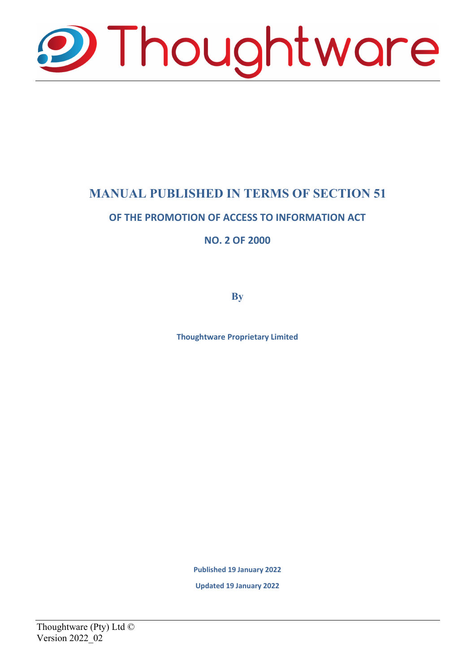

# **MANUAL PUBLISHED IN TERMS OF SECTION 51**

## **OF THE PROMOTION OF ACCESS TO INFORMATION ACT**

**NO. 2 OF 2000**

**By**

**Thoughtware Proprietary Limited**

**Published 19 January 2022**

**Updated 19 January 2022**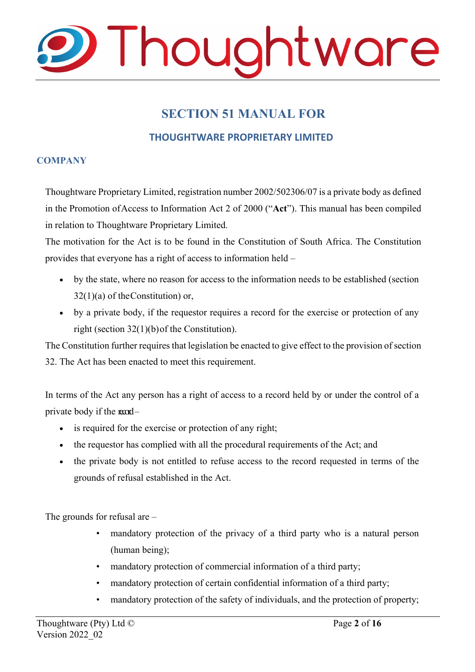

# **SECTION 51 MANUAL FOR**

### **THOUGHTWARE PROPRIETARY LIMITED**

#### **COMPANY**

Thoughtware Proprietary Limited, registration number 2002/502306/07 is a private body as defined in the Promotion of Access to Information Act 2 of 2000 ("**Act**"). This manual has been compiled in relation to Thoughtware Proprietary Limited.

The motivation for the Act is to be found in the Constitution of South Africa. The Constitution provides that everyone has a right of access to information held –

- by the state, where no reason for access to the information needs to be established (section  $32(1)(a)$  of the Constitution) or,
- by a private body, if the requestor requires a record for the exercise or protection of any right (section 32(1)(b) of the Constitution).

The Constitution further requires that legislation be enacted to give effect to the provision of section 32. The Act has been enacted to meet this requirement.

In terms of the Act any person has a right of access to a record held by or under the control of a private body if the  $\text{mod}-$ 

- is required for the exercise or protection of any right;
- the requestor has complied with all the procedural requirements of the Act; and
- the private body is not entitled to refuse access to the record requested in terms of the grounds of refusal established in the Act.

The grounds for refusal are –

- mandatory protection of the privacy of a third party who is a natural person (human being);
- mandatory protection of commercial information of a third party;
- mandatory protection of certain confidential information of a third party;
- mandatory protection of the safety of individuals, and the protection of property;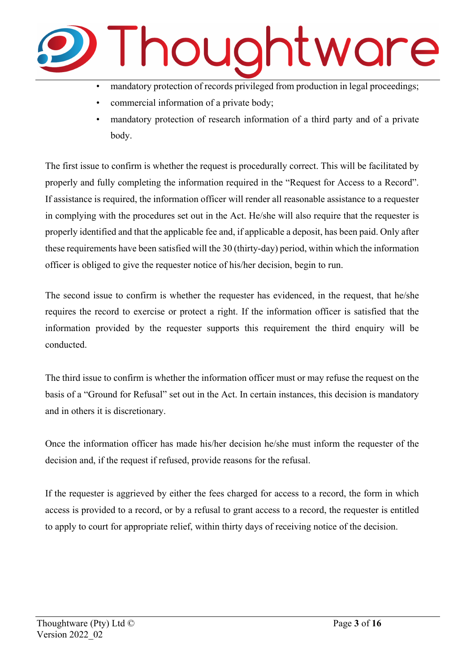

- mandatory protection of records privileged from production in legal proceedings;
- commercial information of a private body;
- mandatory protection of research information of a third party and of a private body.

The first issue to confirm is whether the request is procedurally correct. This will be facilitated by properly and fully completing the information required in the "Request for Access to a Record". If assistance is required, the information officer will render all reasonable assistance to a requester in complying with the procedures set out in the Act. He/she will also require that the requester is properly identified and that the applicable fee and, if applicable a deposit, has been paid. Only after these requirements have been satisfied will the 30 (thirty-day) period, within which the information officer is obliged to give the requester notice of his/her decision, begin to run.

The second issue to confirm is whether the requester has evidenced, in the request, that he/she requires the record to exercise or protect a right. If the information officer is satisfied that the information provided by the requester supports this requirement the third enquiry will be conducted.

The third issue to confirm is whether the information officer must or may refuse the request on the basis of a "Ground for Refusal" set out in the Act. In certain instances, this decision is mandatory and in others it is discretionary.

Once the information officer has made his/her decision he/she must inform the requester of the decision and, if the request if refused, provide reasons for the refusal.

If the requester is aggrieved by either the fees charged for access to a record, the form in which access is provided to a record, or by a refusal to grant access to a record, the requester is entitled to apply to court for appropriate relief, within thirty days of receiving notice of the decision.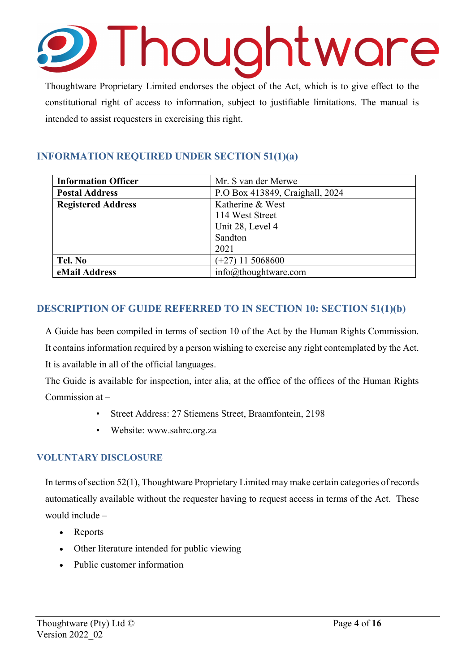

Thoughtware Proprietary Limited endorses the object of the Act, which is to give effect to the constitutional right of access to information, subject to justifiable limitations. The manual is intended to assist requesters in exercising this right.

# **INFORMATION REQUIRED UNDER SECTION 51(1)(a)**

| <b>Information Officer</b> | Mr. S van der Merwe             |
|----------------------------|---------------------------------|
| <b>Postal Address</b>      | P.O Box 413849, Craighall, 2024 |
| <b>Registered Address</b>  | Katherine & West                |
|                            | 114 West Street                 |
|                            | Unit 28, Level 4                |
|                            | Sandton                         |
|                            | 2021                            |
| Tel. No                    | $(+27)$ 11 5068600              |
| eMail Address              | $info@$ thoughtware.com         |

## **DESCRIPTION OF GUIDE REFERRED TO IN SECTION 10: SECTION 51(1)(b)**

A Guide has been compiled in terms of section 10 of the Act by the Human Rights Commission. It contains information required by a person wishing to exercise any right contemplated by the Act. It is available in all of the official languages.

The Guide is available for inspection, inter alia, at the office of the offices of the Human Rights Commission at –

- Street Address: 27 Stiemens Street, Braamfontein, 2198
- Website: [www.sahrc.org.za](http://www.sahrc.org.za/)

#### **VOLUNTARY DISCLOSURE**

In terms of section 52(1), Thoughtware Proprietary Limited may make certain categories of records automatically available without the requester having to request access in terms of the Act. These would include –

- Reports
- Other literature intended for public viewing
- Public customer information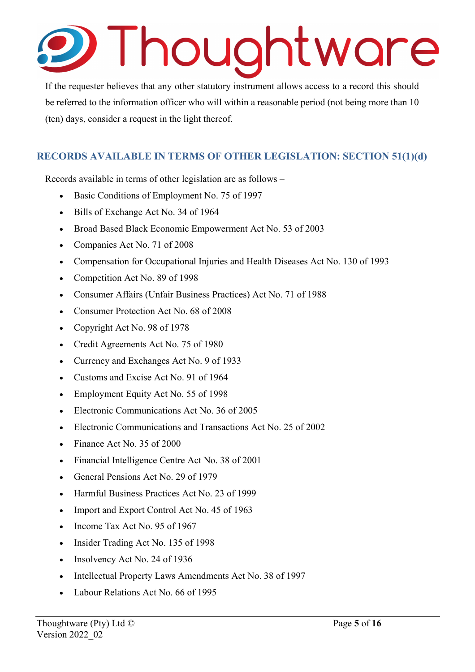# Thoughtware

If the requester believes that any other statutory instrument allows access to a record this should be referred to the information officer who will within a reasonable period (not being more than 10 (ten) days, consider a request in the light thereof.

# **RECORDS AVAILABLE IN TERMS OF OTHER LEGISLATION: SECTION 51(1)(d)**

Records available in terms of other legislation are as follows –

- Basic Conditions of Employment No. 75 of 1997
- Bills of Exchange Act No. 34 of 1964
- Broad Based Black Economic Empowerment Act No. 53 of 2003
- Companies Act No. 71 of 2008
- Compensation for Occupational Injuries and Health Diseases Act No. 130 of 1993
- Competition Act No. 89 of 1998
- Consumer Affairs (Unfair Business Practices) Act No. 71 of 1988
- Consumer Protection Act No. 68 of 2008
- Copyright Act No. 98 of 1978
- Credit Agreements Act No. 75 of 1980
- Currency and Exchanges Act No. 9 of 1933
- Customs and Excise Act No. 91 of 1964
- Employment Equity Act No. 55 of 1998
- Electronic Communications Act No. 36 of 2005
- Electronic Communications and Transactions Act No. 25 of 2002
- Finance Act No. 35 of 2000
- Financial Intelligence Centre Act No. 38 of 2001
- General Pensions Act No. 29 of 1979
- Harmful Business Practices Act No. 23 of 1999
- Import and Export Control Act No. 45 of 1963
- Income Tax Act No. 95 of 1967
- Insider Trading Act No. 135 of 1998
- Insolvency Act No. 24 of 1936
- Intellectual Property Laws Amendments Act No. 38 of 1997
- Labour Relations Act No. 66 of 1995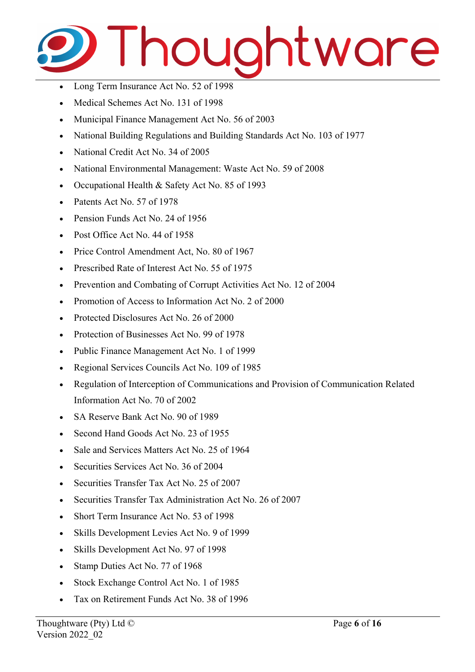

- Long Term Insurance Act No. 52 of 1998
- Medical Schemes Act No. 131 of 1998
- Municipal Finance Management Act No. 56 of 2003
- National Building Regulations and Building Standards Act No. 103 of 1977
- National Credit Act No. 34 of 2005
- National Environmental Management: Waste Act No. 59 of 2008
- Occupational Health & Safety Act No. 85 of 1993
- Patents Act No. 57 of 1978
- Pension Funds Act No. 24 of 1956
- Post Office Act No. 44 of 1958
- Price Control Amendment Act, No. 80 of 1967
- Prescribed Rate of Interest Act No. 55 of 1975
- Prevention and Combating of Corrupt Activities Act No. 12 of 2004
- Promotion of Access to Information Act No. 2 of 2000
- Protected Disclosures Act No. 26 of 2000
- Protection of Businesses Act No. 99 of 1978
- Public Finance Management Act No. 1 of 1999
- Regional Services Councils Act No. 109 of 1985
- Regulation of Interception of Communications and Provision of Communication Related Information Act No. 70 of 2002
- SA Reserve Bank Act No. 90 of 1989
- Second Hand Goods Act No. 23 of 1955
- Sale and Services Matters Act No. 25 of 1964
- Securities Services Act No. 36 of 2004
- Securities Transfer Tax Act No. 25 of 2007
- Securities Transfer Tax Administration Act No. 26 of 2007
- Short Term Insurance Act No. 53 of 1998
- Skills Development Levies Act No. 9 of 1999
- Skills Development Act No. 97 of 1998
- Stamp Duties Act No. 77 of 1968
- Stock Exchange Control Act No. 1 of 1985
- Tax on Retirement Funds Act No. 38 of 1996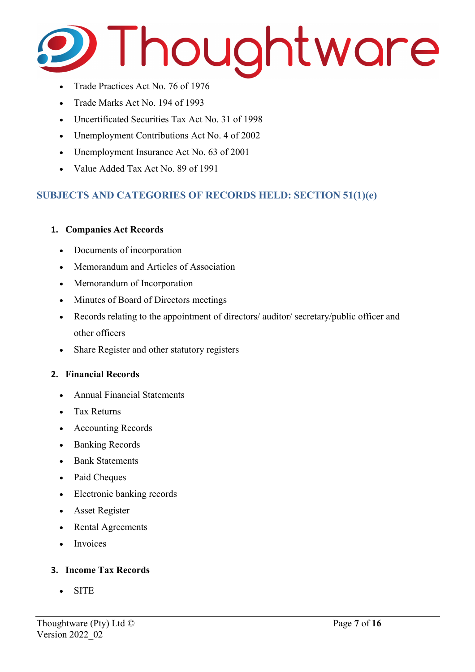

- Trade Practices Act No. 76 of 1976
- Trade Marks Act No. 194 of 1993
- Uncertificated Securities Tax Act No. 31 of 1998
- Unemployment Contributions Act No. 4 of 2002
- Unemployment Insurance Act No. 63 of 2001
- Value Added Tax Act No. 89 of 1991

#### **SUBJECTS AND CATEGORIES OF RECORDS HELD: SECTION 51(1)(e)**

#### **1. Companies Act Records**

- Documents of incorporation
- Memorandum and Articles of Association
- Memorandum of Incorporation
- Minutes of Board of Directors meetings
- Records relating to the appointment of directors/ auditor/ secretary/public officer and other officers
- Share Register and other statutory registers

#### **2. Financial Records**

- Annual Financial Statements
- Tax Returns
- Accounting Records
- Banking Records
- Bank Statements
- Paid Cheques
- Electronic banking records
- Asset Register
- Rental Agreements
- Invoices

#### **3. Income Tax Records**

• SITE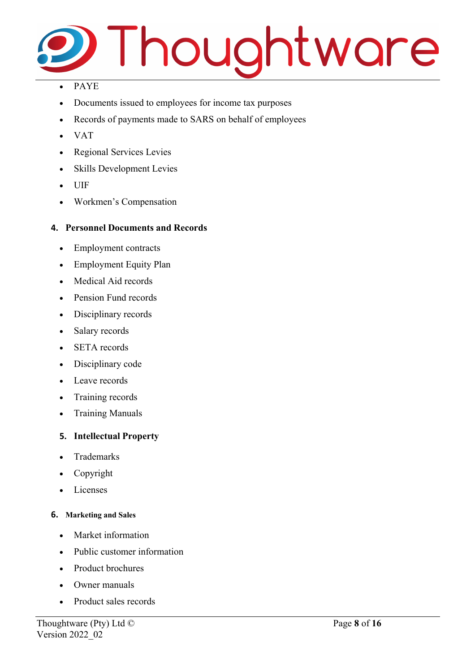

#### • PAYE

- Documents issued to employees for income tax purposes
- Records of payments made to SARS on behalf of employees
- VAT
- Regional Services Levies
- Skills Development Levies
- UIF
- Workmen's Compensation

#### **4. Personnel Documents and Records**

- Employment contracts
- Employment Equity Plan
- Medical Aid records
- Pension Fund records
- Disciplinary records
- Salary records
- **SETA** records
- Disciplinary code
- Leave records
- Training records
- Training Manuals

#### **5. Intellectual Property**

- Trademarks
- Copyright
- Licenses

#### **6. Marketing and Sales**

- Market information
- Public customer information
- Product brochures
- Owner manuals
- Product sales records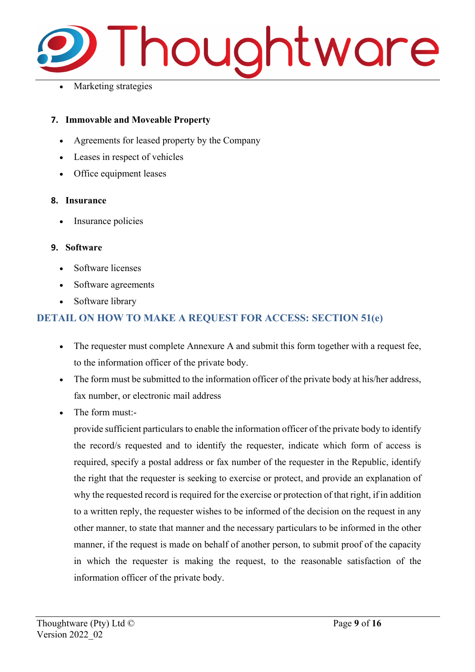

Marketing strategies

#### **7. Immovable and Moveable Property**

- Agreements for leased property by the Company
- Leases in respect of vehicles
- Office equipment leases

#### **8. Insurance**

Insurance policies

#### **9. Software**

- Software licenses
- Software agreements
- Software library

## **DETAIL ON HOW TO MAKE A REQUEST FOR ACCESS: SECTION 51(e)**

- The requester must complete Annexure A and submit this form together with a request fee, to the information officer of the private body.
- The form must be submitted to the information officer of the private body at his/her address, fax number, or electronic mail address
- The form must:-

provide sufficient particulars to enable the information officer of the private body to identify the record/s requested and to identify the requester, indicate which form of access is required, specify a postal address or fax number of the requester in the Republic, identify the right that the requester is seeking to exercise or protect, and provide an explanation of why the requested record is required for the exercise or protection of that right, if in addition to a written reply, the requester wishes to be informed of the decision on the request in any other manner, to state that manner and the necessary particulars to be informed in the other manner, if the request is made on behalf of another person, to submit proof of the capacity in which the requester is making the request, to the reasonable satisfaction of the information officer of the private body.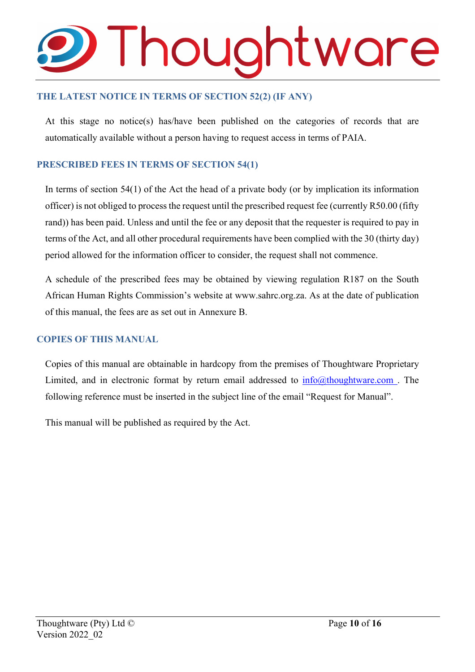# Thoughtware

#### **THE LATEST NOTICE IN TERMS OF SECTION 52(2) (IF ANY)**

At this stage no notice(s) has/have been published on the categories of records that are automatically available without a person having to request access in terms of PAIA.

#### **PRESCRIBED FEES IN TERMS OF SECTION 54(1)**

In terms of section 54(1) of the Act the head of a private body (or by implication its information officer) is not obliged to process the request until the prescribed request fee (currently R50.00 (fifty rand)) has been paid. Unless and until the fee or any deposit that the requester is required to pay in terms of the Act, and all other procedural requirements have been complied with the 30 (thirty day) period allowed for the information officer to consider, the request shall not commence.

A schedule of the prescribed fees may be obtained by viewing regulation R187 on the South African Human Rights Commission's website at [www.sahrc.org.za.](http://www.sahrc.org.za/) As at the date of publication of this manual, the fees are as set out in Annexure B.

#### **COPIES OF THIS MANUAL**

Copies of this manual are obtainable in hardcopy from the premises of Thoughtware Proprietary Limited, and in electronic format by return email addressed to  $info@thoughtware.com$ . The following reference must be inserted in the subject line of the email "Request for Manual".

This manual will be published as required by the Act.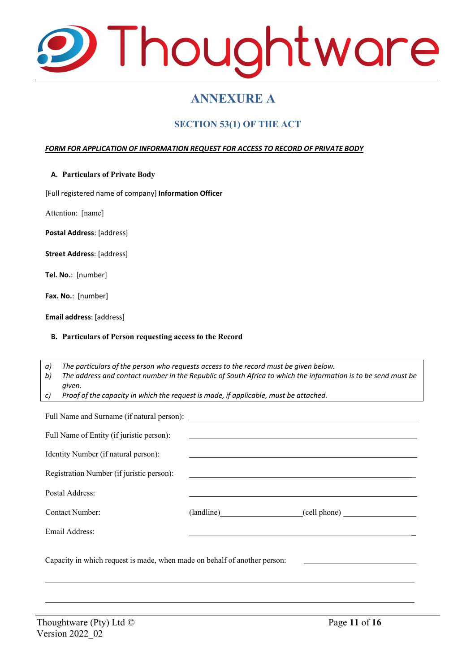

# **ANNEXURE A**

### **SECTION 53(1) OF THE ACT**

#### *FORM FOR APPLICATION OF INFORMATION REQUEST FOR ACCESS TO RECORD OF PRIVATE BODY*

**A. Particulars of Private Body**

[Full registered name of company] **Information Officer**

Attention: [name]

**Postal Address**: [address]

**Street Address**: [address]

**Tel. No.**: [number]

**Fax. No.**: [number]

**Email address**: [address]

#### **B. Particulars of Person requesting access to the Record**

*a) The particulars of the person who requests access to the record must be given below. b) The address and contact number in the Republic of South Africa to which the information is to be send must be given.*

*c) Proof of the capacity in which the request is made, if applicable, must be attached.*

| Full Name of Entity (if juristic person):                                 |                                                                                                                      |                         |  |
|---------------------------------------------------------------------------|----------------------------------------------------------------------------------------------------------------------|-------------------------|--|
| Identity Number (if natural person):                                      |                                                                                                                      |                         |  |
| Registration Number (if juristic person):                                 | <u> 1989 - Johann John Stein, markin fan it ferstjer fan de ferstjer fan it ferstjer fan de ferstjer fan it fers</u> |                         |  |
| Postal Address:                                                           |                                                                                                                      |                         |  |
| Contact Number:                                                           |                                                                                                                      | (landline) (cell phone) |  |
| Email Address:                                                            |                                                                                                                      |                         |  |
| Capacity in which request is made, when made on behalf of another person: |                                                                                                                      |                         |  |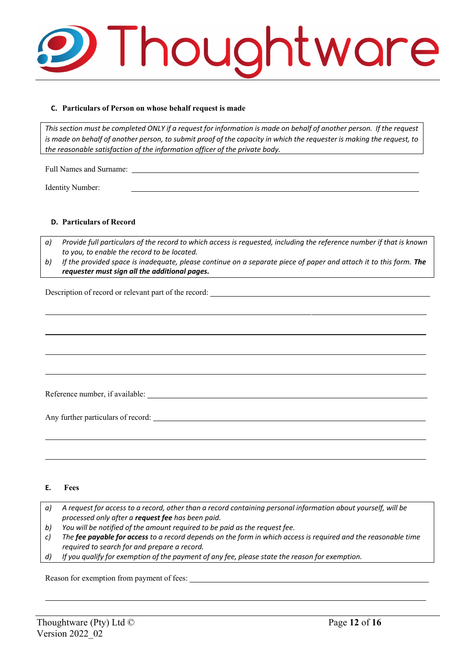

#### **C. Particulars of Person on whose behalf request is made**

This section must be completed ONLY if a request for information is made on behalf of another person. If the request is made on behalf of another person, to submit proof of the capacity in which the requester is making the request, to *the reasonable satisfaction of the information officer of the private body.*

Identity Number:

#### **D. Particulars of Record**

Full Names and Surname:

*a) Provide full particulars of the record to which access is requested, including the reference number if that is known to you, to enable the record to be located.*

b) If the provided space is inadequate, please continue on a separate piece of paper and attach it to this form. The *requester must sign all the additional pages.*

Description of record or relevant part of the record:

Reference number, if available:

Any further particulars of record:

#### **E. Fees**

- *a) A request for access to a record, other than a record containing personal information about yourself, will be processed only after a request fee has been paid.*
- *b) You will be notified of the amount required to be paid as the request fee.*
- *c) The fee payable for access to a record depends on the form in which access is required and the reasonable time required to search for and prepare a record.*
- *d) If you qualify for exemption of the payment of any fee, please state the reason for exemption.*

Reason for exemption from payment of fees: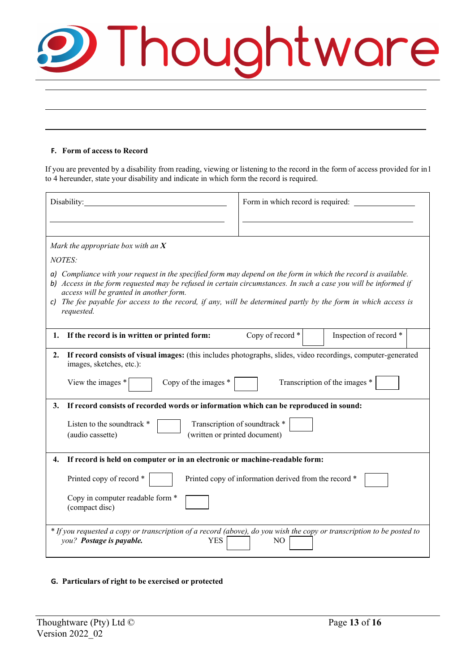| <b>9 Thoughtware</b> |  |  |
|----------------------|--|--|
|                      |  |  |

#### **F. Form of access to Record**

If you are prevented by a disability from reading, viewing or listening to the record in the form of access provided for in 1 to 4 hereunder, state your disability and indicate in which form the record is required.

| Disability:                                                                                                                                                                                                                                                                                                                                                                                                 | Form in which record is required:          |  |  |
|-------------------------------------------------------------------------------------------------------------------------------------------------------------------------------------------------------------------------------------------------------------------------------------------------------------------------------------------------------------------------------------------------------------|--------------------------------------------|--|--|
|                                                                                                                                                                                                                                                                                                                                                                                                             |                                            |  |  |
| Mark the appropriate box with an $X$                                                                                                                                                                                                                                                                                                                                                                        |                                            |  |  |
| <b>NOTES:</b>                                                                                                                                                                                                                                                                                                                                                                                               |                                            |  |  |
| a) Compliance with your request in the specified form may depend on the form in which the record is available.<br>b) Access in the form requested may be refused in certain circumstances. In such a case you will be informed if<br>access will be granted in another form.<br>c) The fee payable for access to the record, if any, will be determined partly by the form in which access is<br>requested. |                                            |  |  |
| If the record is in written or printed form:<br>1.                                                                                                                                                                                                                                                                                                                                                          | Copy of record *<br>Inspection of record * |  |  |
| If record consists of visual images: (this includes photographs, slides, video recordings, computer-generated<br>2.<br>images, sketches, etc.):<br>Transcription of the images *<br>Copy of the images *<br>View the images *<br>If record consists of recorded words or information which can be reproduced in sound:<br>3.                                                                                |                                            |  |  |
| Transcription of soundtrack *<br>Listen to the soundtrack *<br>(written or printed document)<br>(audio cassette)                                                                                                                                                                                                                                                                                            |                                            |  |  |
| If record is held on computer or in an electronic or machine-readable form:<br>4.                                                                                                                                                                                                                                                                                                                           |                                            |  |  |
| Printed copy of record *<br>Printed copy of information derived from the record *<br>Copy in computer readable form *<br>(compact disc)                                                                                                                                                                                                                                                                     |                                            |  |  |
| * If you requested a copy or transcription of a record (above), do you wish the copy or transcription to be posted to<br>you? Postage is payable.<br><b>YES</b><br>N <sub>O</sub>                                                                                                                                                                                                                           |                                            |  |  |

**G. Particulars of right to be exercised or protected**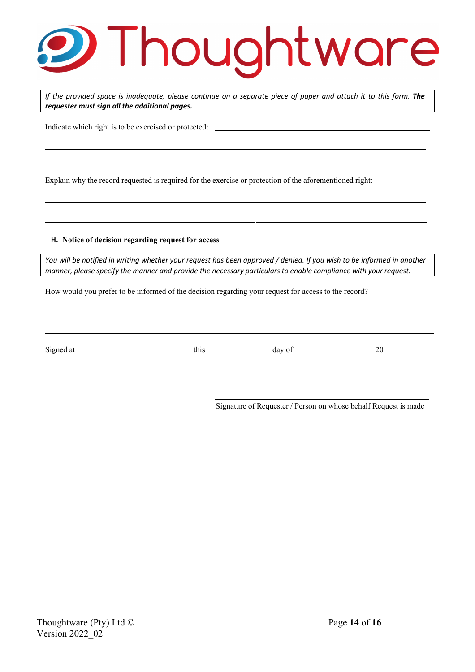# Thoughtware

If the provided space is inadequate, please continue on a separate piece of paper and attach it to this form. The *requester must sign all the additional pages.*

Indicate which right is to be exercised or protected:

Explain why the record requested is required for the exercise or protection of the aforementioned right:

#### **H. Notice of decision regarding request for access**

You will be notified in writing whether your request has been approved / denied. If you wish to be informed in another *manner, please specify the manner and provide the necessary particulars to enable compliance with your request.*

How would you prefer to be informed of the decision regarding your request for access to the record?

| $\sim$<br>$\mathcal{D}1\mathcal{E}$ | <br>ua | `<br>. . |
|-------------------------------------|--------|----------|

Signature of Requester / Person on whose behalf Request is made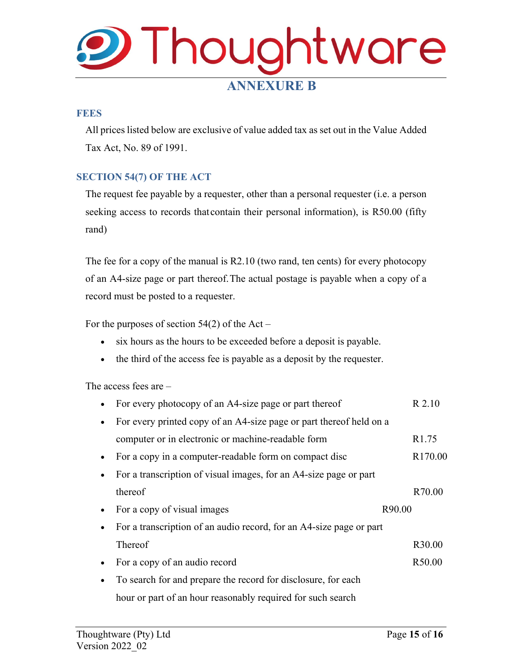# **Thoughtware ANNEXURE B**

#### **FEES**

All prices listed below are exclusive of value added tax as set out in the Value Added Tax Act, No. 89 of 1991.

#### **SECTION 54(7) OF THE ACT**

The request fee payable by a requester, other than a personal requester (i.e. a person seeking access to records that contain their personal information), is R50.00 (fifty rand)

The fee for a copy of the manual is R2.10 (two rand, ten cents) for every photocopy of an A4-size page or part thereof.The actual postage is payable when a copy of a record must be posted to a requester.

For the purposes of section  $54(2)$  of the Act –

- six hours as the hours to be exceeded before a deposit is payable.
- the third of the access fee is payable as a deposit by the requester.

The access fees are –

|           | For every photocopy of an A4-size page or part thereof              | R 2.10              |
|-----------|---------------------------------------------------------------------|---------------------|
|           | For every printed copy of an A4-size page or part thereof held on a |                     |
|           | computer or in electronic or machine-readable form                  | R <sub>1.75</sub>   |
|           | For a copy in a computer-readable form on compact disc              | R <sub>170.00</sub> |
|           | For a transcription of visual images, for an A4-size page or part   |                     |
|           | thereof                                                             | R70.00              |
|           | For a copy of visual images                                         | R90.00              |
|           | For a transcription of an audio record, for an A4-size page or part |                     |
|           | Thereof                                                             | R <sub>30.00</sub>  |
|           |                                                                     |                     |
| $\bullet$ | For a copy of an audio record                                       | R50.00              |
|           | To search for and prepare the record for disclosure, for each       |                     |